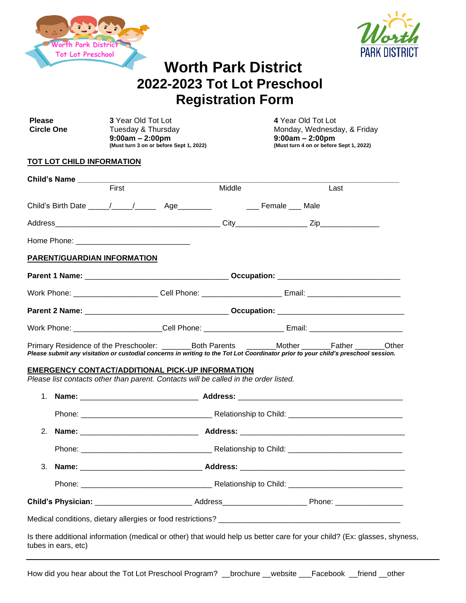



# **Worth Park District 2022-2023 Tot Lot Preschool Registration Form**

| <b>Please</b><br><b>Circle One</b> |  | 3 Year Old Tot Lot<br>Tuesday & Thursday<br>$9:00am - 2:00pm$<br>(Must turn 3 on or before Sept 1, 2022)                                                                                                                                                                                                                                                                             |        | 4 Year Old Tot Lot<br>Monday, Wednesday, & Friday<br>$9:00am - 2:00pm$<br>(Must turn 4 on or before Sept 1, 2022) |  |
|------------------------------------|--|--------------------------------------------------------------------------------------------------------------------------------------------------------------------------------------------------------------------------------------------------------------------------------------------------------------------------------------------------------------------------------------|--------|-------------------------------------------------------------------------------------------------------------------|--|
|                                    |  | TOT LOT CHILD INFORMATION                                                                                                                                                                                                                                                                                                                                                            |        |                                                                                                                   |  |
|                                    |  |                                                                                                                                                                                                                                                                                                                                                                                      |        |                                                                                                                   |  |
|                                    |  | First                                                                                                                                                                                                                                                                                                                                                                                | Middle | Last                                                                                                              |  |
|                                    |  |                                                                                                                                                                                                                                                                                                                                                                                      |        |                                                                                                                   |  |
|                                    |  |                                                                                                                                                                                                                                                                                                                                                                                      |        |                                                                                                                   |  |
|                                    |  |                                                                                                                                                                                                                                                                                                                                                                                      |        |                                                                                                                   |  |
|                                    |  | PARENT/GUARDIAN INFORMATION                                                                                                                                                                                                                                                                                                                                                          |        |                                                                                                                   |  |
|                                    |  |                                                                                                                                                                                                                                                                                                                                                                                      |        |                                                                                                                   |  |
|                                    |  |                                                                                                                                                                                                                                                                                                                                                                                      |        |                                                                                                                   |  |
|                                    |  |                                                                                                                                                                                                                                                                                                                                                                                      |        |                                                                                                                   |  |
|                                    |  |                                                                                                                                                                                                                                                                                                                                                                                      |        |                                                                                                                   |  |
|                                    |  | Work Phone: ________________________Cell Phone: ________________________Email: __________________________                                                                                                                                                                                                                                                                            |        |                                                                                                                   |  |
|                                    |  | Primary Residence of the Preschooler: ________Both Parents _______Mother _______Father _______Other<br>Please submit any visitation or custodial concerns in writing to the Tot Lot Coordinator prior to your child's preschool session.<br>EMERGENCY CONTACT/ADDITIONAL PICK-UP INFORMATION<br>Please list contacts other than parent. Contacts will be called in the order listed. |        |                                                                                                                   |  |
|                                    |  | 1. Name: ________________________________Address: ______________________________                                                                                                                                                                                                                                                                                                     |        |                                                                                                                   |  |
|                                    |  |                                                                                                                                                                                                                                                                                                                                                                                      |        |                                                                                                                   |  |
| 2.                                 |  |                                                                                                                                                                                                                                                                                                                                                                                      |        |                                                                                                                   |  |
|                                    |  |                                                                                                                                                                                                                                                                                                                                                                                      |        |                                                                                                                   |  |
| 3.                                 |  |                                                                                                                                                                                                                                                                                                                                                                                      |        |                                                                                                                   |  |
|                                    |  |                                                                                                                                                                                                                                                                                                                                                                                      |        |                                                                                                                   |  |
|                                    |  |                                                                                                                                                                                                                                                                                                                                                                                      |        |                                                                                                                   |  |